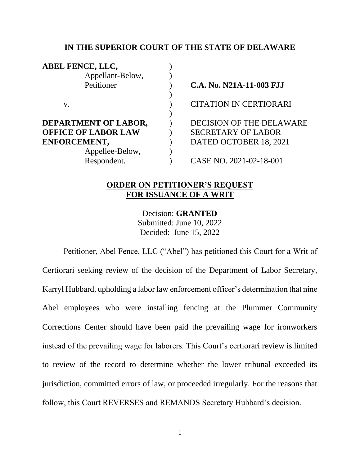### **IN THE SUPERIOR COURT OF THE STATE OF DELAWARE**

| <b>ABEL FENCE, LLC,</b>     |                                 |
|-----------------------------|---------------------------------|
| Appellant-Below,            |                                 |
| Petitioner                  | C.A. No. N21A-11-003 FJJ        |
|                             |                                 |
| V.                          | <b>CITATION IN CERTIORARI</b>   |
|                             |                                 |
| <b>DEPARTMENT OF LABOR,</b> | <b>DECISION OF THE DELAWARE</b> |
| <b>OFFICE OF LABOR LAW</b>  | <b>SECRETARY OF LABOR</b>       |
| ENFORCEMENT,                | DATED OCTOBER 18, 2021          |
| Appellee-Below,             |                                 |
| Respondent.                 | CASE NO. 2021-02-18-001         |
|                             |                                 |

## **ORDER ON PETITIONER'S REQUEST FOR ISSUANCE OF A WRIT**

Decision: **GRANTED**  Submitted: June 10, 2022 Decided: June 15, 2022

Petitioner, Abel Fence, LLC ("Abel") has petitioned this Court for a Writ of Certiorari seeking review of the decision of the Department of Labor Secretary, Karryl Hubbard, upholding a labor law enforcement officer's determination that nine Abel employees who were installing fencing at the Plummer Community Corrections Center should have been paid the prevailing wage for ironworkers instead of the prevailing wage for laborers. This Court's certiorari review is limited to review of the record to determine whether the lower tribunal exceeded its jurisdiction, committed errors of law, or proceeded irregularly. For the reasons that follow, this Court REVERSES and REMANDS Secretary Hubbard's decision.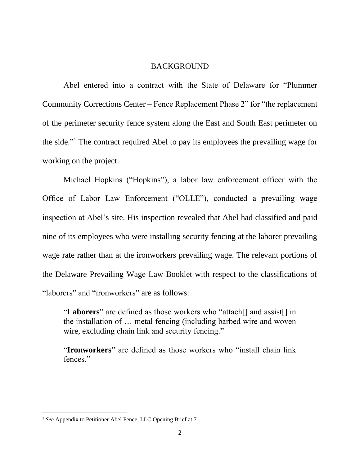### BACKGROUND

Abel entered into a contract with the State of Delaware for "Plummer Community Corrections Center – Fence Replacement Phase 2" for "the replacement of the perimeter security fence system along the East and South East perimeter on the side." <sup>1</sup> The contract required Abel to pay its employees the prevailing wage for working on the project.

Michael Hopkins ("Hopkins"), a labor law enforcement officer with the Office of Labor Law Enforcement ("OLLE"), conducted a prevailing wage inspection at Abel's site. His inspection revealed that Abel had classified and paid nine of its employees who were installing security fencing at the laborer prevailing wage rate rather than at the ironworkers prevailing wage. The relevant portions of the Delaware Prevailing Wage Law Booklet with respect to the classifications of "laborers" and "ironworkers" are as follows:

"**Laborers**" are defined as those workers who "attach[] and assist[] in the installation of … metal fencing (including barbed wire and woven wire, excluding chain link and security fencing."

"**Ironworkers**" are defined as those workers who "install chain link fences."

<sup>1</sup> *See* Appendix to Petitioner Abel Fence, LLC Opening Brief at 7.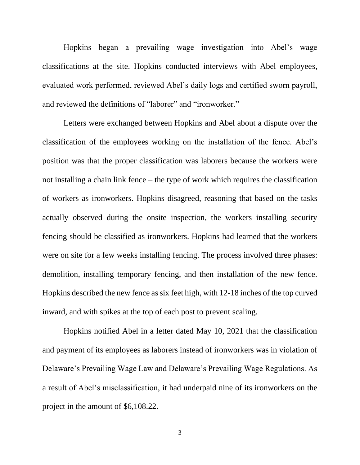Hopkins began a prevailing wage investigation into Abel's wage classifications at the site. Hopkins conducted interviews with Abel employees, evaluated work performed, reviewed Abel's daily logs and certified sworn payroll, and reviewed the definitions of "laborer" and "ironworker."

Letters were exchanged between Hopkins and Abel about a dispute over the classification of the employees working on the installation of the fence. Abel's position was that the proper classification was laborers because the workers were not installing a chain link fence – the type of work which requires the classification of workers as ironworkers. Hopkins disagreed, reasoning that based on the tasks actually observed during the onsite inspection, the workers installing security fencing should be classified as ironworkers. Hopkins had learned that the workers were on site for a few weeks installing fencing. The process involved three phases: demolition, installing temporary fencing, and then installation of the new fence. Hopkins described the new fence as six feet high, with 12-18 inches of the top curved inward, and with spikes at the top of each post to prevent scaling.

Hopkins notified Abel in a letter dated May 10, 2021 that the classification and payment of its employees as laborers instead of ironworkers was in violation of Delaware's Prevailing Wage Law and Delaware's Prevailing Wage Regulations. As a result of Abel's misclassification, it had underpaid nine of its ironworkers on the project in the amount of \$6,108.22.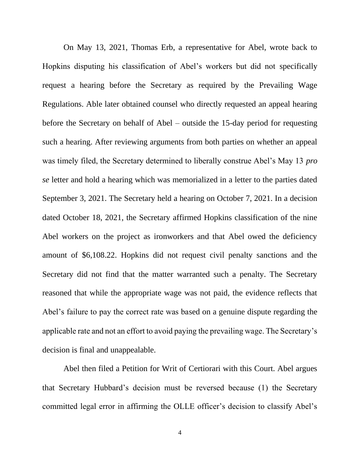On May 13, 2021, Thomas Erb, a representative for Abel, wrote back to Hopkins disputing his classification of Abel's workers but did not specifically request a hearing before the Secretary as required by the Prevailing Wage Regulations. Able later obtained counsel who directly requested an appeal hearing before the Secretary on behalf of Abel – outside the 15-day period for requesting such a hearing. After reviewing arguments from both parties on whether an appeal was timely filed, the Secretary determined to liberally construe Abel's May 13 *pro se* letter and hold a hearing which was memorialized in a letter to the parties dated September 3, 2021. The Secretary held a hearing on October 7, 2021. In a decision dated October 18, 2021, the Secretary affirmed Hopkins classification of the nine Abel workers on the project as ironworkers and that Abel owed the deficiency amount of \$6,108.22. Hopkins did not request civil penalty sanctions and the Secretary did not find that the matter warranted such a penalty. The Secretary reasoned that while the appropriate wage was not paid, the evidence reflects that Abel's failure to pay the correct rate was based on a genuine dispute regarding the applicable rate and not an effort to avoid paying the prevailing wage. The Secretary's decision is final and unappealable.

Abel then filed a Petition for Writ of Certiorari with this Court. Abel argues that Secretary Hubbard's decision must be reversed because (1) the Secretary committed legal error in affirming the OLLE officer's decision to classify Abel's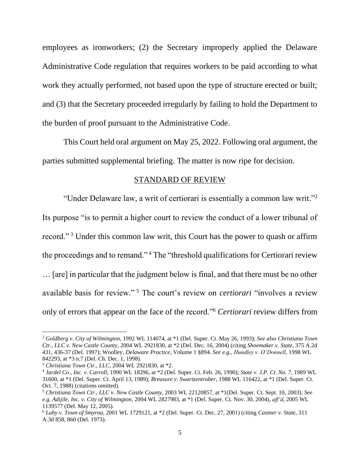employees as ironworkers; (2) the Secretary improperly applied the Delaware Administrative Code regulation that requires workers to be paid according to what work they actually performed, not based upon the type of structure erected or built; and (3) that the Secretary proceeded irregularly by failing to hold the Department to the burden of proof pursuant to the Administrative Code.

This Court held oral argument on May 25, 2022. Following oral argument, the parties submitted supplemental briefing. The matter is now ripe for decision.

#### STANDARD OF REVIEW

"Under Delaware law, a writ of certiorari is essentially a common law writ."<sup>2</sup>

Its purpose "is to permit a higher court to review the conduct of a lower tribunal of record." <sup>3</sup> Under this common law writ, this Court has the power to quash or affirm the proceedings and to remand." <sup>4</sup> The "threshold qualifications for Certiorari review … [are] in particular that the judgment below is final, and that there must be no other available basis for review." <sup>5</sup> The court's review on *certiorari* "involves a review only of errors that appear on the face of the record."<sup>6</sup> *Certiorari* review differs from

<sup>2</sup> *Goldberg v. City of Wilmington*, 1992 WL 114074, at \*1 (Del. Super. Ct. May 26, 1993); *See also Christiana Town Ctr., LLC v. New Castle County*, 2004 WL 2921830, at \*2 (Del. Dec. 16, 2004) (citing *Shoemaker v. State*, 375 A.2d 431, 436-37 (Del. 1997); Woolley, *Delaware Practice*, Volume 1 §894. *See e.g.*, *Hundley v. O'Donnell*, 1998 WL 842293, at \*3 n.7 (Del. Ch. Dec. 1, 1998).

<sup>3</sup> *Christiana Town Ctr., LLC*, 2004 WL 2921830, at \*2.

<sup>4</sup> *Jardel Co., Inc. v. Carroll*, 1990 WL 18296, at \*2 (Del. Super. Ct. Feb. 26, 1990); *State v. J.P. Ct. No. 7*, 1989 WL 31600, at \*1 (Del. Super. Ct. April 13, 1989); *Breasure v. Swartzentruber*, 1988 WL 116422, at \*1 (Del. Super. Ct. Oct. 7, 1988) (citations omitted).

<sup>5</sup> *Christiana Town Ctr., LLC v. New Castle County*, 2003 WL 22120857, at \*1(Del. Super. Ct. Sept. 10, 2003). *See e.g. Adijile, Inc. v. City of Wilmington*, 2004 WL 2827983, at \*1 (Del. Super. Ct. Nov. 30, 2004), *aff'd*, 2005 WL 1139577 (Del. May 12, 2005).

<sup>6</sup> *Luby v. Town of Smyrna*, 2001 WL 1729121, at \*2 (Del. Super. Ct. Dec. 27, 2001) (citing *Castner v. State*, 311 A.3d 858, 860 (Del. 1973).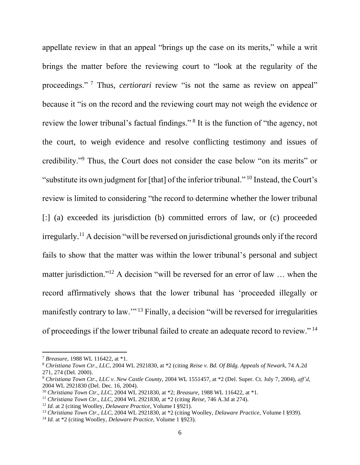appellate review in that an appeal "brings up the case on its merits," while a writ brings the matter before the reviewing court to "look at the regularity of the proceedings." <sup>7</sup> Thus, *certiorari* review "is not the same as review on appeal" because it "is on the record and the reviewing court may not weigh the evidence or review the lower tribunal's factual findings."<sup>8</sup> It is the function of "the agency, not the court, to weigh evidence and resolve conflicting testimony and issues of credibility."<sup>9</sup> Thus, the Court does not consider the case below "on its merits" or "substitute its own judgment for [that] of the inferior tribunal." <sup>10</sup> Instead, the Court's review is limited to considering "the record to determine whether the lower tribunal [:] (a) exceeded its jurisdiction (b) committed errors of law, or (c) proceeded irregularly.<sup>11</sup> A decision "will be reversed on jurisdictional grounds only if the record fails to show that the matter was within the lower tribunal's personal and subject matter jurisdiction."<sup>12</sup> A decision "will be reversed for an error of law ... when the record affirmatively shows that the lower tribunal has 'proceeded illegally or manifestly contrary to law.'" <sup>13</sup> Finally, a decision "will be reversed for irregularities of proceedings if the lower tribunal failed to create an adequate record to review." <sup>14</sup>

<sup>7</sup> *Breasure*, 1988 WL 116422, at \*1.

<sup>8</sup> *Christiana Town Ctr., LLC*, 2004 WL 2921830, at \*2 (citing *Reise v. Bd. Of Bldg. Appeals of Newark*, 74 A.2d 271, 274 (Del. 2000).

<sup>9</sup> *Christiana Town Ctr., LLC v. New Castle County*, 2004 WL 1551457, at \*2 (Del. Super. Ct. July 7, 2004), *aff'd*, 2004 WL 2921830 (Del. Dec. 16, 2004).

<sup>10</sup> *Christiana Town Ctr., LLC*, 2004 WL 2921830, at \*2; *Breasure*, 1988 WL 116422, at \*1.

<sup>11</sup> *Christiana Town Ctr., LLC*, 2004 WL 2921830, at \*2 (citing *Reise*, 746 A.3d at 274).

<sup>12</sup> *Id.* at 2 (citing Woolley, *Delaware Practice*, Volume I §921).

<sup>13</sup> *Christiana Town Ctr., LLC*, 2004 WL 2921830, at \*2 (citing Woolley, *Delaware Practice*, Volume I §939).

<sup>14</sup> *Id.* at \*2 (citing Woolley, *Delaware Practice*, Volume 1 §923).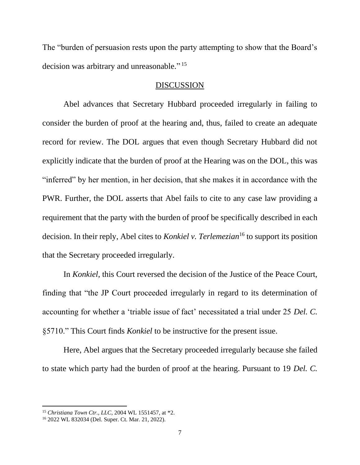The "burden of persuasion rests upon the party attempting to show that the Board's decision was arbitrary and unreasonable."<sup>15</sup>

#### DISCUSSION

Abel advances that Secretary Hubbard proceeded irregularly in failing to consider the burden of proof at the hearing and, thus, failed to create an adequate record for review. The DOL argues that even though Secretary Hubbard did not explicitly indicate that the burden of proof at the Hearing was on the DOL, this was "inferred" by her mention, in her decision, that she makes it in accordance with the PWR. Further, the DOL asserts that Abel fails to cite to any case law providing a requirement that the party with the burden of proof be specifically described in each decision. In their reply, Abel cites to *Konkiel v. Terlemezian*<sup>16</sup> to support its position that the Secretary proceeded irregularly.

In *Konkiel*, this Court reversed the decision of the Justice of the Peace Court, finding that "the JP Court proceeded irregularly in regard to its determination of accounting for whether a 'triable issue of fact' necessitated a trial under 25 *Del. C.*  §5710." This Court finds *Konkiel* to be instructive for the present issue.

Here, Abel argues that the Secretary proceeded irregularly because she failed to state which party had the burden of proof at the hearing. Pursuant to 19 *Del. C.* 

<sup>15</sup> *Christiana Town Ctr., LLC*, 2004 WL 1551457, at \*2.

<sup>16</sup> 2022 WL 832034 (Del. Super. Ct. Mar. 21, 2022).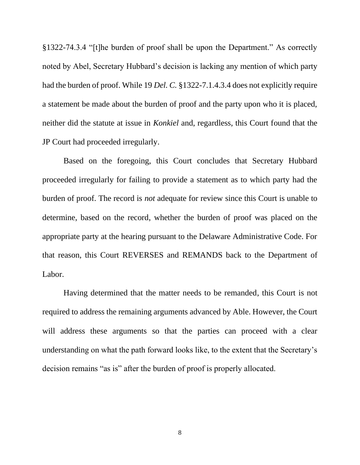§1322-74.3.4 "[t]he burden of proof shall be upon the Department." As correctly noted by Abel, Secretary Hubbard's decision is lacking any mention of which party had the burden of proof. While 19 *Del. C.* §1322-7.1.4.3.4 does not explicitly require a statement be made about the burden of proof and the party upon who it is placed, neither did the statute at issue in *Konkiel* and, regardless, this Court found that the JP Court had proceeded irregularly.

Based on the foregoing, this Court concludes that Secretary Hubbard proceeded irregularly for failing to provide a statement as to which party had the burden of proof. The record is *not* adequate for review since this Court is unable to determine, based on the record, whether the burden of proof was placed on the appropriate party at the hearing pursuant to the Delaware Administrative Code. For that reason, this Court REVERSES and REMANDS back to the Department of Labor.

Having determined that the matter needs to be remanded, this Court is not required to address the remaining arguments advanced by Able. However, the Court will address these arguments so that the parties can proceed with a clear understanding on what the path forward looks like, to the extent that the Secretary's decision remains "as is" after the burden of proof is properly allocated.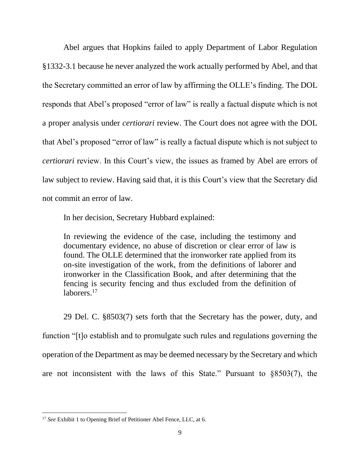Abel argues that Hopkins failed to apply Department of Labor Regulation §1332-3.1 because he never analyzed the work actually performed by Abel, and that the Secretary committed an error of law by affirming the OLLE's finding. The DOL responds that Abel's proposed "error of law" is really a factual dispute which is not a proper analysis under *certiorari* review. The Court does not agree with the DOL that Abel's proposed "error of law" is really a factual dispute which is not subject to *certiorari* review. In this Court's view, the issues as framed by Abel are errors of law subject to review. Having said that, it is this Court's view that the Secretary did not commit an error of law.

In her decision, Secretary Hubbard explained:

In reviewing the evidence of the case, including the testimony and documentary evidence, no abuse of discretion or clear error of law is found. The OLLE determined that the ironworker rate applied from its on-site investigation of the work, from the definitions of laborer and ironworker in the Classification Book, and after determining that the fencing is security fencing and thus excluded from the definition of laborers.<sup>17</sup>

29 Del. C. §8503(7) sets forth that the Secretary has the power, duty, and function "[t]o establish and to promulgate such rules and regulations governing the operation of the Department as may be deemed necessary by the Secretary and which are not inconsistent with the laws of this State." Pursuant to §8503(7), the

<sup>&</sup>lt;sup>17</sup> See Exhibit 1 to Opening Brief of Petitioner Abel Fence, LLC, at 6.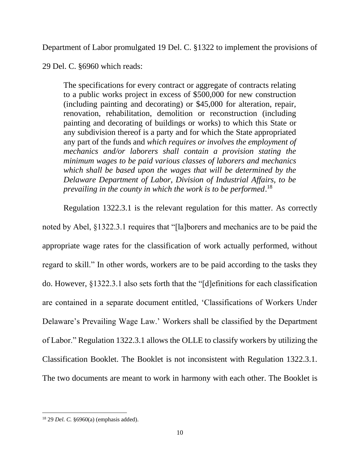Department of Labor promulgated 19 Del. C. §1322 to implement the provisions of

29 Del. C. §6960 which reads:

The specifications for every contract or aggregate of contracts relating to a public works project in excess of \$500,000 for new construction (including painting and decorating) or \$45,000 for alteration, repair, renovation, rehabilitation, demolition or reconstruction (including painting and decorating of buildings or works) to which this State or any subdivision thereof is a party and for which the State appropriated any part of the funds and *which requires or involves the employment of mechanics and/or laborers shall contain a provision stating the minimum wages to be paid various classes of laborers and mechanics which shall be based upon the wages that will be determined by the Delaware Department of Labor, Division of Industrial Affairs, to be prevailing in the county in which the work is to be performed*. 18

Regulation 1322.3.1 is the relevant regulation for this matter. As correctly noted by Abel, §1322.3.1 requires that "[la]borers and mechanics are to be paid the appropriate wage rates for the classification of work actually performed, without regard to skill." In other words, workers are to be paid according to the tasks they do. However, §1322.3.1 also sets forth that the "[d]efinitions for each classification are contained in a separate document entitled, 'Classifications of Workers Under Delaware's Prevailing Wage Law.' Workers shall be classified by the Department of Labor." Regulation 1322.3.1 allows the OLLE to classify workers by utilizing the Classification Booklet. The Booklet is not inconsistent with Regulation 1322.3.1. The two documents are meant to work in harmony with each other. The Booklet is

<sup>18</sup> 29 *Del. C.* §6960(a) (emphasis added).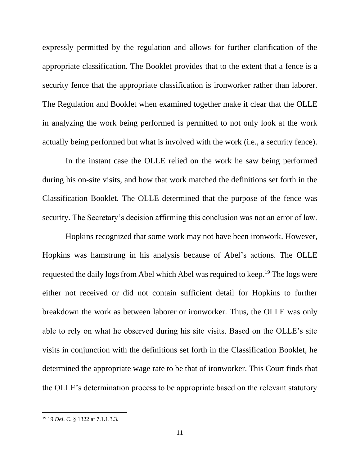expressly permitted by the regulation and allows for further clarification of the appropriate classification. The Booklet provides that to the extent that a fence is a security fence that the appropriate classification is ironworker rather than laborer. The Regulation and Booklet when examined together make it clear that the OLLE in analyzing the work being performed is permitted to not only look at the work actually being performed but what is involved with the work (i.e., a security fence).

In the instant case the OLLE relied on the work he saw being performed during his on-site visits, and how that work matched the definitions set forth in the Classification Booklet. The OLLE determined that the purpose of the fence was security. The Secretary's decision affirming this conclusion was not an error of law.

Hopkins recognized that some work may not have been ironwork. However, Hopkins was hamstrung in his analysis because of Abel's actions. The OLLE requested the daily logs from Abel which Abel was required to keep.<sup>19</sup> The logs were either not received or did not contain sufficient detail for Hopkins to further breakdown the work as between laborer or ironworker. Thus, the OLLE was only able to rely on what he observed during his site visits. Based on the OLLE's site visits in conjunction with the definitions set forth in the Classification Booklet, he determined the appropriate wage rate to be that of ironworker. This Court finds that the OLLE's determination process to be appropriate based on the relevant statutory

<sup>19</sup> 19 *Del*. *C*. § 1322 at 7.1.1.3.3.